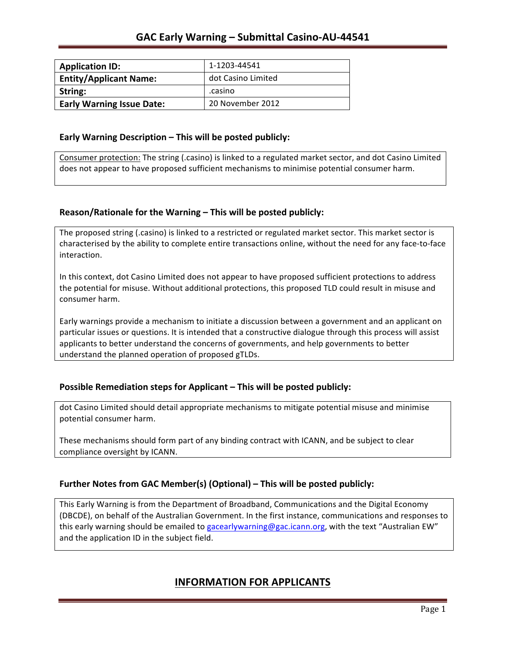| <b>Application ID:</b>           | 1-1203-44541       |
|----------------------------------|--------------------|
| <b>Entity/Applicant Name:</b>    | dot Casino Limited |
| String:                          | .casino            |
| <b>Early Warning Issue Date:</b> | 20 November 2012   |

### **Early Warning Description – This will be posted publicly:**

Consumer protection: The string (.casino) is linked to a regulated market sector, and dot Casino Limited does not appear to have proposed sufficient mechanisms to minimise potential consumer harm.

### **Reason/Rationale for the Warning – This will be posted publicly:**

The proposed string (.casino) is linked to a restricted or regulated market sector. This market sector is characterised by the ability to complete entire transactions online, without the need for any face-to-face interaction.

In this context, dot Casino Limited does not appear to have proposed sufficient protections to address the potential for misuse. Without additional protections, this proposed TLD could result in misuse and consumer harm.

Early warnings provide a mechanism to initiate a discussion between a government and an applicant on particular issues or questions. It is intended that a constructive dialogue through this process will assist applicants to better understand the concerns of governments, and help governments to better understand the planned operation of proposed gTLDs.

### **Possible Remediation steps for Applicant – This will be posted publicly:**

dot Casino Limited should detail appropriate mechanisms to mitigate potential misuse and minimise potential consumer harm.

These mechanisms should form part of any binding contract with ICANN, and be subject to clear compliance oversight by ICANN.

### **Further Notes from GAC Member(s) (Optional)** – This will be posted publicly:

This Early Warning is from the Department of Broadband, Communications and the Digital Economy (DBCDE), on behalf of the Australian Government. In the first instance, communications and responses to this early warning should be emailed to gacearlywarning@gac.icann.org, with the text "Australian EW" and the application ID in the subject field.

## **INFORMATION FOR APPLICANTS**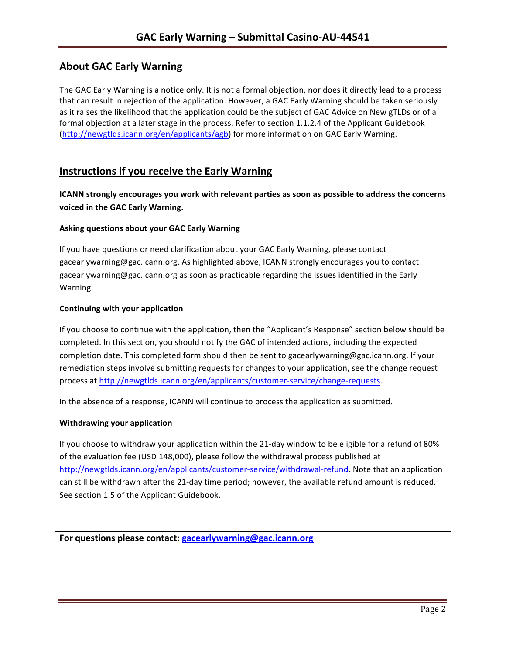# **About GAC Early Warning**

The GAC Early Warning is a notice only. It is not a formal objection, nor does it directly lead to a process that can result in rejection of the application. However, a GAC Early Warning should be taken seriously as it raises the likelihood that the application could be the subject of GAC Advice on New gTLDs or of a formal objection at a later stage in the process. Refer to section 1.1.2.4 of the Applicant Guidebook (http://newgtlds.icann.org/en/applicants/agb) for more information on GAC Early Warning.

## **Instructions if you receive the Early Warning**

**ICANN** strongly encourages you work with relevant parties as soon as possible to address the concerns **voiced in the GAC Early Warning.** 

### **Asking questions about your GAC Early Warning**

If you have questions or need clarification about your GAC Early Warning, please contact gacearlywarning@gac.icann.org. As highlighted above, ICANN strongly encourages you to contact gacearlywarning@gac.icann.org as soon as practicable regarding the issues identified in the Early Warning. 

#### **Continuing with your application**

If you choose to continue with the application, then the "Applicant's Response" section below should be completed. In this section, you should notify the GAC of intended actions, including the expected completion date. This completed form should then be sent to gacearlywarning@gac.icann.org. If your remediation steps involve submitting requests for changes to your application, see the change request process at http://newgtlds.icann.org/en/applicants/customer-service/change-requests.

In the absence of a response, ICANN will continue to process the application as submitted.

#### **Withdrawing your application**

If you choose to withdraw your application within the 21-day window to be eligible for a refund of 80% of the evaluation fee (USD 148,000), please follow the withdrawal process published at http://newgtlds.icann.org/en/applicants/customer-service/withdrawal-refund. Note that an application can still be withdrawn after the 21-day time period; however, the available refund amount is reduced. See section 1.5 of the Applicant Guidebook.

For questions please contact: gacearlywarning@gac.icann.org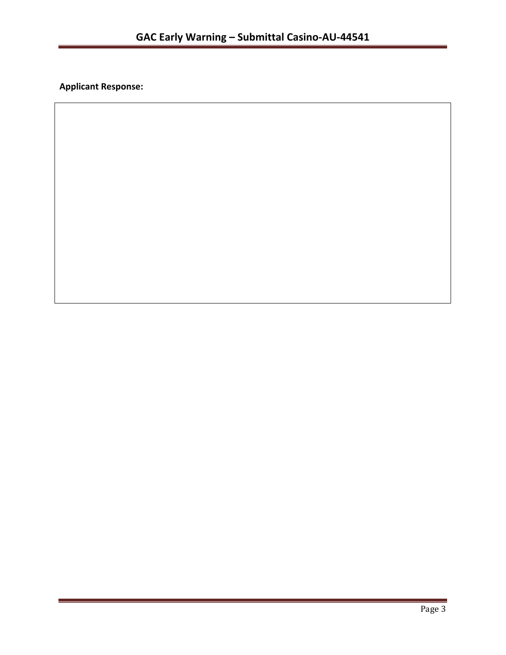**Applicant Response:**